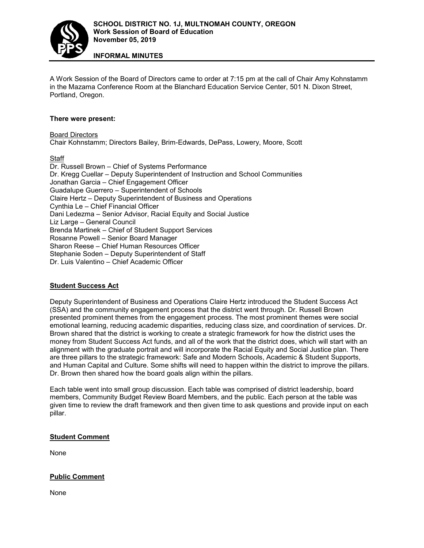

**INFORMAL MINUTES**

A Work Session of the Board of Directors came to order at 7:15 pm at the call of Chair Amy Kohnstamm in the Mazama Conference Room at the Blanchard Education Service Center, 501 N. Dixon Street, Portland, Oregon.

### **There were present:**

Board Directors Chair Kohnstamm; Directors Bailey, Brim-Edwards, DePass, Lowery, Moore, Scott

**Staff** 

Dr. Russell Brown – Chief of Systems Performance Dr. Kregg Cuellar – Deputy Superintendent of Instruction and School Communities Jonathan Garcia – Chief Engagement Officer Guadalupe Guerrero – Superintendent of Schools Claire Hertz – Deputy Superintendent of Business and Operations Cynthia Le – Chief Financial Officer Dani Ledezma – Senior Advisor, Racial Equity and Social Justice Liz Large – General Council Brenda Martinek – Chief of Student Support Services Rosanne Powell – Senior Board Manager Sharon Reese – Chief Human Resources Officer Stephanie Soden – Deputy Superintendent of Staff Dr. Luis Valentino – Chief Academic Officer

## **Student Success Act**

Deputy Superintendent of Business and Operations Claire Hertz introduced the Student Success Act (SSA) and the community engagement process that the district went through. Dr. Russell Brown presented prominent themes from the engagement process. The most prominent themes were social emotional learning, reducing academic disparities, reducing class size, and coordination of services. Dr. Brown shared that the district is working to create a strategic framework for how the district uses the money from Student Success Act funds, and all of the work that the district does, which will start with an alignment with the graduate portrait and will incorporate the Racial Equity and Social Justice plan. There are three pillars to the strategic framework: Safe and Modern Schools, Academic & Student Supports, and Human Capital and Culture. Some shifts will need to happen within the district to improve the pillars. Dr. Brown then shared how the board goals align within the pillars.

Each table went into small group discussion. Each table was comprised of district leadership, board members, Community Budget Review Board Members, and the public. Each person at the table was given time to review the draft framework and then given time to ask questions and provide input on each pillar.

### **Student Comment**

None

### **Public Comment**

None